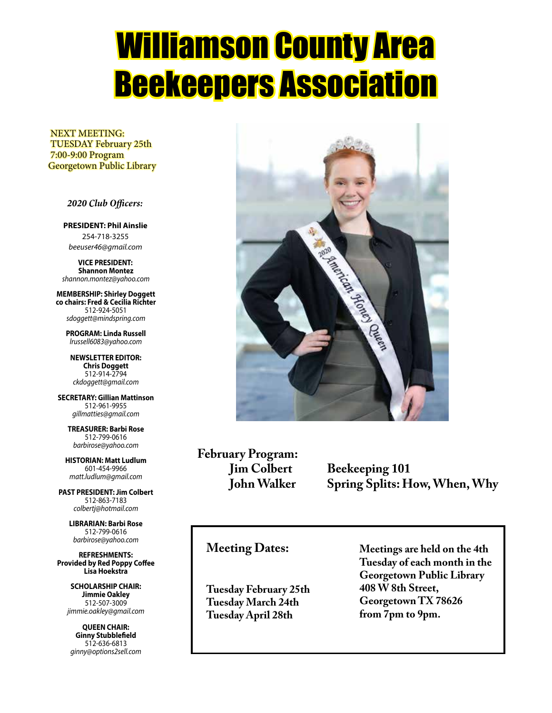# Williamson County Area Beekeepers Association

 NEXT MEETING: TUESDAY February 25th 7:00-9:00 Program Georgetown Public Library

#### *2020 Club Officers:*

**PRESIDENT: Phil Ainslie** 254-718-3255 *beeuser46@gmail.com*

**VICE PRESIDENT: Shannon Montez** *shannon.montez@yahoo.com*

**MEMBERSHIP: Shirley Doggett co chairs: Fred & Cecilia Richter** 512-924-5051 *sdoggett@mindspring.com*

**PROGRAM: Linda Russell** *lrussell6083@yahoo.com*

**NEWSLETTER EDITOR: Chris Doggett** 512-914-2794 *ckdoggett@gmail.com*

**SECRETARY: Gillian Mattinson** 512-961-9955 *gillmatties@gmail.com*

**TREASURER: Barbi Rose** 512-799-0616 *barbirose@yahoo.com*

**HISTORIAN: Matt Ludlum** 601-454-9966 *matt.ludlum@gmail.com*

**PAST PRESIDENT: Jim Colbert** 512-863-7183 *colbertj@hotmail.com*

> **LIBRARIAN: Barbi Rose** 512-799-0616 *barbirose@yahoo.com*

**REFRESHMENTS: Provided by Red Poppy Coffee Lisa Hoekstra**

**SCHOLARSHIP CHAIR: Jimmie Oakley** 512-507-3009 *jimmie.oakley@gmail.com*

**QUEEN CHAIR: Ginny Stubblefield** 512-636-6813 *ginny@options2sell.com*



**February Program:**

**Jim Colbert** Beekeeping 101<br>**John Walker** Spring Splits: H **Spring Splits: How, When, Why** 

#### **Meeting Dates:**

**Tuesday February 25th Tuesday March 24th Tuesday April 28th**

**Meetings are held on the 4th Tuesday of each month in the Georgetown Public Library 408 W 8th Street, Georgetown TX 78626 from 7pm to 9pm.**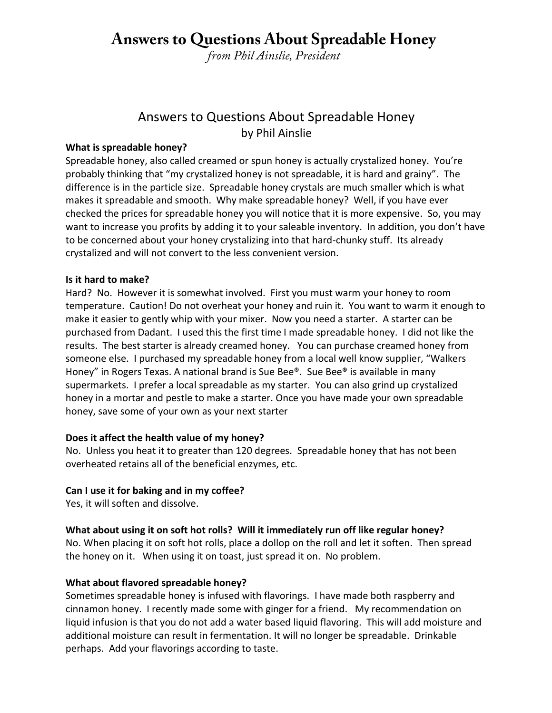## **Answers to Questions About Spreadable Honey**

*from Phil Ainslie, President*

#### Answers to Questions About Spreadable Honey by Phil Ainslie

#### **What is spreadable honey?**

Spreadable honey, also called creamed or spun honey is actually crystalized honey. You're probably thinking that "my crystalized honey is not spreadable, it is hard and grainy". The difference is in the particle size. Spreadable honey crystals are much smaller which is what makes it spreadable and smooth. Why make spreadable honey? Well, if you have ever checked the prices for spreadable honey you will notice that it is more expensive. So, you may want to increase you profits by adding it to your saleable inventory. In addition, you don't have to be concerned about your honey crystalizing into that hard-chunky stuff. Its already crystalized and will not convert to the less convenient version.

#### **Is it hard to make?**

Hard? No. However it is somewhat involved. First you must warm your honey to room temperature. Caution! Do not overheat your honey and ruin it. You want to warm it enough to make it easier to gently whip with your mixer. Now you need a starter. A starter can be purchased from Dadant. I used this the first time I made spreadable honey. I did not like the results. The best starter is already creamed honey. You can purchase creamed honey from someone else. I purchased my spreadable honey from a local well know supplier, "Walkers Honey" in Rogers Texas. A national brand is Sue Bee®. Sue Bee® is available in many supermarkets. I prefer a local spreadable as my starter. You can also grind up crystalized honey in a mortar and pestle to make a starter. Once you have made your own spreadable honey, save some of your own as your next starter

#### **Does it affect the health value of my honey?**

No. Unless you heat it to greater than 120 degrees. Spreadable honey that has not been overheated retains all of the beneficial enzymes, etc.

#### **Can I use it for baking and in my coffee?**

Yes, it will soften and dissolve.

#### **What about using it on soft hot rolls? Will it immediately run off like regular honey?**

No. When placing it on soft hot rolls, place a dollop on the roll and let it soften. Then spread the honey on it. When using it on toast, just spread it on. No problem.

#### **What about flavored spreadable honey?**

Sometimes spreadable honey is infused with flavorings. I have made both raspberry and cinnamon honey. I recently made some with ginger for a friend. My recommendation on liquid infusion is that you do not add a water based liquid flavoring. This will add moisture and additional moisture can result in fermentation. It will no longer be spreadable. Drinkable perhaps. Add your flavorings according to taste.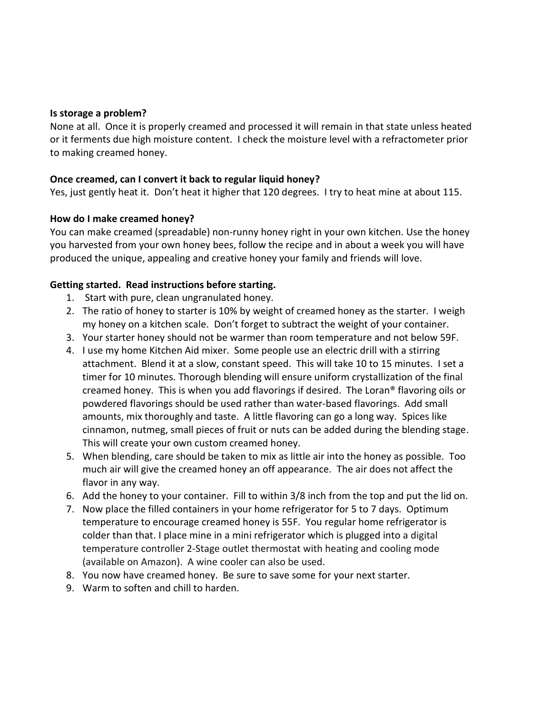#### **Is storage a problem?**

None at all. Once it is properly creamed and processed it will remain in that state unless heated or it ferments due high moisture content. I check the moisture level with a refractometer prior to making creamed honey.

#### **Once creamed, can I convert it back to regular liquid honey?**

Yes, just gently heat it. Don't heat it higher that 120 degrees. I try to heat mine at about 115.

#### **How do I make creamed honey?**

You can make creamed (spreadable) non-runny honey right in your own kitchen. Use the honey you harvested from your own honey bees, follow the recipe and in about a week you will have produced the unique, appealing and creative honey your family and friends will love.

#### **Getting started. Read instructions before starting.**

- 1. Start with pure, clean ungranulated honey.
- 2. The ratio of honey to starter is 10% by weight of creamed honey as the starter. I weigh my honey on a kitchen scale. Don't forget to subtract the weight of your container.
- 3. Your starter honey should not be warmer than room temperature and not below 59F.
- 4. I use my home Kitchen Aid mixer. Some people use an electric drill with a stirring attachment. Blend it at a slow, constant speed. This will take 10 to 15 minutes. I set a timer for 10 minutes. Thorough blending will ensure uniform crystallization of the final creamed honey. This is when you add flavorings if desired. The Loran® flavoring oils or powdered flavorings should be used rather than water-based flavorings. Add small amounts, mix thoroughly and taste. A little flavoring can go a long way. Spices like cinnamon, nutmeg, small pieces of fruit or nuts can be added during the blending stage. This will create your own custom creamed honey.
- 5. When blending, care should be taken to mix as little air into the honey as possible. Too much air will give the creamed honey an off appearance. The air does not affect the flavor in any way.
- 6. Add the honey to your container. Fill to within 3/8 inch from the top and put the lid on.
- 7. Now place the filled containers in your home refrigerator for 5 to 7 days. Optimum temperature to encourage creamed honey is 55F. You regular home refrigerator is colder than that. I place mine in a mini refrigerator which is plugged into a digital temperature controller 2-Stage outlet thermostat with heating and cooling mode (available on Amazon). A wine cooler can also be used.
- 8. You now have creamed honey. Be sure to save some for your next starter.
- 9. Warm to soften and chill to harden.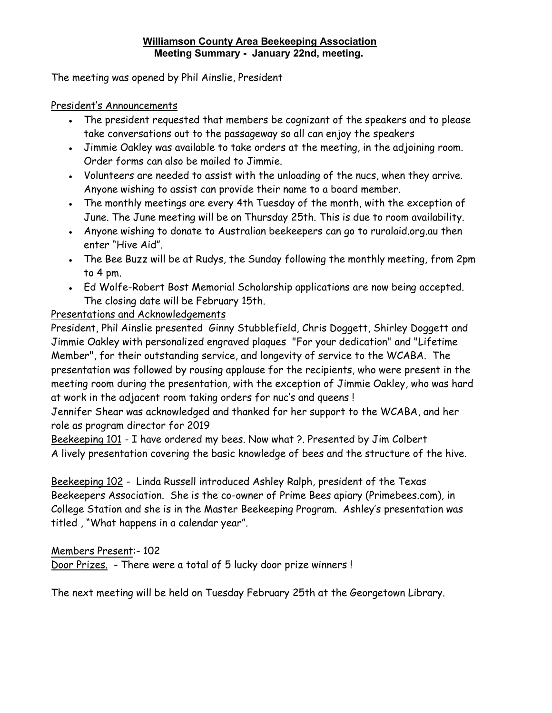#### **Williamson County Area Beekeeping Association Meeting Summary - January 22nd, meeting.**

The meeting was opened by Phil Ainslie, President

#### President's Announcements

- The president requested that members be cognizant of the speakers and to please take conversations out to the passageway so all can enjoy the speakers
- Jimmie Oakley was available to take orders at the meeting, in the adjoining room. Order forms can also be mailed to Jimmie.
- Volunteers are needed to assist with the unloading of the nucs, when they arrive. Anyone wishing to assist can provide their name to a board member.
- The monthly meetings are every 4th Tuesday of the month, with the exception of June. The June meeting will be on Thursday 25th. This is due to room availability.
- Anyone wishing to donate to Australian beekeepers can go to ruralaid.org.au then enter "Hive Aid".
- The Bee Buzz will be at Rudys, the Sunday following the monthly meeting, from 2pm to 4 pm.
- Ed Wolfe-Robert Bost Memorial Scholarship applications are now being accepted. The closing date will be February 15th.

#### Presentations and Acknowledgements

President, Phil Ainslie presented Ginny Stubblefield, Chris Doggett, Shirley Doggett and Jimmie Oakley with personalized engraved plaques "For your dedication" and "Lifetime Member", for their outstanding service, and longevity of service to the WCABA. The presentation was followed by rousing applause for the recipients, who were present in the meeting room during the presentation, with the exception of Jimmie Oakley, who was hard at work in the adjacent room taking orders for nuc's and queens !

Jennifer Shear was acknowledged and thanked for her support to the WCABA, and her role as program director for 2019

Beekeeping 101 - I have ordered my bees. Now what ?. Presented by Jim Colbert A lively presentation covering the basic knowledge of bees and the structure of the hive.

Beekeeping 102 - Linda Russell introduced Ashley Ralph, president of the Texas Beekeepers Association. She is the co-owner of Prime Bees apiary (Primebees.com), in College Station and she is in the Master Beekeeping Program. Ashley's presentation was titled , "What happens in a calendar year".

#### Members Present:- 102

Door Prizes. - There were a total of 5 lucky door prize winners !

The next meeting will be held on Tuesday February 25th at the Georgetown Library.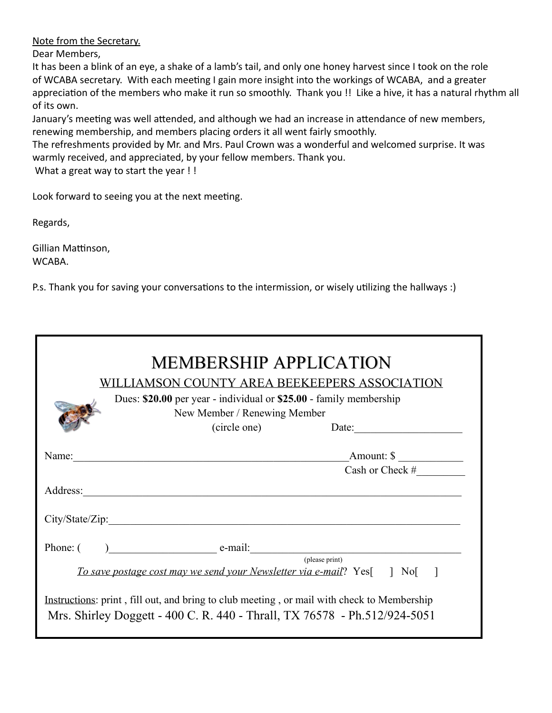Note from the Secretary.

Dear Members,

It has been a blink of an eye, a shake of a lamb's tail, and only one honey harvest since I took on the role of WCABA secretary. With each meeting I gain more insight into the workings of WCABA, and a greater appreciation of the members who make it run so smoothly. Thank you !! Like a hive, it has a natural rhythm all of its own.

January's meeting was well attended, and although we had an increase in attendance of new members, renewing membership, and members placing orders it all went fairly smoothly.

The refreshments provided by Mr. and Mrs. Paul Crown was a wonderful and welcomed surprise. It was warmly received, and appreciated, by your fellow members. Thank you.

What a great way to start the year !!

Look forward to seeing you at the next meeting.

Regards,

Gillian Mattinson, WCABA.

P.s. Thank you for saving your conversations to the intermission, or wisely utilizing the hallways :)

|                                                                                                                                                                         | <b>MEMBERSHIP APPLICATION</b><br>WILLIAMSON COUNTY AREA BEEKEEPERS ASSOCIATION<br>Dues: \$20.00 per year - individual or \$25.00 - family membership<br>New Member / Renewing Member<br>(circle one) | Date: $\frac{1}{\sqrt{1-\frac{1}{2}} \cdot \frac{1}{2} \cdot \frac{1}{2} \cdot \frac{1}{2} \cdot \frac{1}{2} \cdot \frac{1}{2} \cdot \frac{1}{2} \cdot \frac{1}{2} \cdot \frac{1}{2} \cdot \frac{1}{2} \cdot \frac{1}{2} \cdot \frac{1}{2} \cdot \frac{1}{2} \cdot \frac{1}{2} \cdot \frac{1}{2} \cdot \frac{1}{2} \cdot \frac{1}{2} \cdot \frac{1}{2} \cdot \frac{1}{2} \cdot \frac{1}{2} \cdot \frac{1}{2} \cdot \frac{1}{2} \cdot \frac{1}{2}$ |
|-------------------------------------------------------------------------------------------------------------------------------------------------------------------------|------------------------------------------------------------------------------------------------------------------------------------------------------------------------------------------------------|---------------------------------------------------------------------------------------------------------------------------------------------------------------------------------------------------------------------------------------------------------------------------------------------------------------------------------------------------------------------------------------------------------------------------------------------------|
| Name:                                                                                                                                                                   |                                                                                                                                                                                                      | Amount: \$                                                                                                                                                                                                                                                                                                                                                                                                                                        |
|                                                                                                                                                                         |                                                                                                                                                                                                      | Cash or Check #                                                                                                                                                                                                                                                                                                                                                                                                                                   |
|                                                                                                                                                                         |                                                                                                                                                                                                      |                                                                                                                                                                                                                                                                                                                                                                                                                                                   |
|                                                                                                                                                                         | City/State/Zip:                                                                                                                                                                                      |                                                                                                                                                                                                                                                                                                                                                                                                                                                   |
|                                                                                                                                                                         | $Phone: ( )$ $e-mail:$                                                                                                                                                                               |                                                                                                                                                                                                                                                                                                                                                                                                                                                   |
|                                                                                                                                                                         |                                                                                                                                                                                                      | (please print)                                                                                                                                                                                                                                                                                                                                                                                                                                    |
|                                                                                                                                                                         | To save postage cost may we send your Newsletter via e-mail? Yes[] No[]                                                                                                                              |                                                                                                                                                                                                                                                                                                                                                                                                                                                   |
| Instructions: print, fill out, and bring to club meeting, or mail with check to Membership<br>Mrs. Shirley Doggett - 400 C. R. 440 - Thrall, TX 76578 - Ph.512/924-5051 |                                                                                                                                                                                                      |                                                                                                                                                                                                                                                                                                                                                                                                                                                   |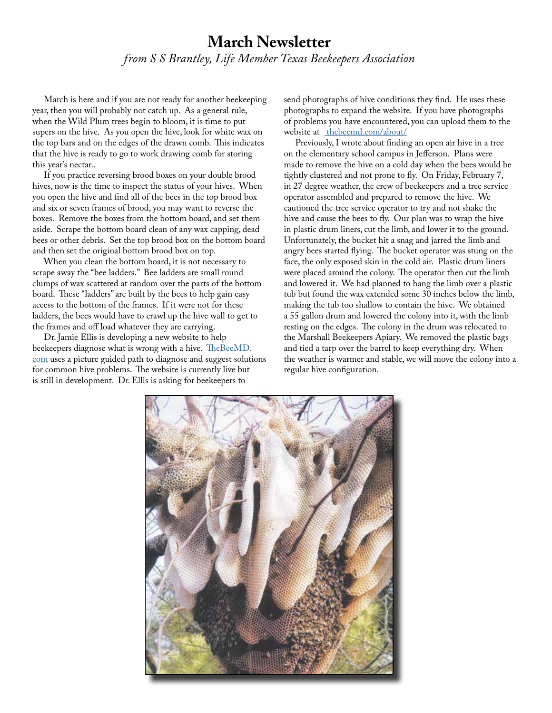### **March Newsletter** *from S S Brantley, Life Member Texas Beekeepers Association*

 March is here and if you are not ready for another beekeeping year, then you will probably not catch up. As a general rule, when the Wild Plum trees begin to bloom, it is time to put supers on the hive. As you open the hive, look for white wax on the top bars and on the edges of the drawn comb. This indicates that the hive is ready to go to work drawing comb for storing this year's nectar..

 If you practice reversing brood boxes on your double brood hives, now is the time to inspect the status of your hives. When you open the hive and find all of the bees in the top brood box and six or seven frames of brood, you may want to reverse the boxes. Remove the boxes from the bottom board, and set them aside. Scrape the bottom board clean of any wax capping, dead bees or other debris. Set the top brood box on the bottom board and then set the original bottom brood box on top.

 When you clean the bottom board, it is not necessary to scrape away the "bee ladders." Bee ladders are small round clumps of wax scattered at random over the parts of the bottom board. These "ladders" are built by the bees to help gain easy access to the bottom of the frames. If it were not for these ladders, the bees would have to crawl up the hive wall to get to the frames and off load whatever they are carrying.

 Dr. Jamie Ellis is developing a new website to help beekeepers diagnose what is wrong with a hive. TheBeeMD. com uses a picture guided path to diagnose and suggest solutions for common hive problems. The website is currently live but is still in development. Dr. Ellis is asking for beekeepers to

send photographs of hive conditions they find. He uses these photographs to expand the website. If you have photographs of problems you have encountered, you can upload them to the website at <u>thebeemd.com/about/</u>

 Previously, I wrote about finding an open air hive in a tree on the elementary school campus in Jefferson. Plans were made to remove the hive on a cold day when the bees would be tightly clustered and not prone to fly. On Friday, February 7, in 27 degree weather, the crew of beekeepers and a tree service operator assembled and prepared to remove the hive. We cautioned the tree service operator to try and not shake the hive and cause the bees to fly. Our plan was to wrap the hive in plastic drum liners, cut the limb, and lower it to the ground. Unfortunately, the bucket hit a snag and jarred the limb and angry bees started flying. The bucket operator was stung on the face, the only exposed skin in the cold air. Plastic drum liners were placed around the colony. The operator then cut the limb and lowered it. We had planned to hang the limb over a plastic tub but found the wax extended some 30 inches below the limb, making the tub too shallow to contain the hive. We obtained a 55 gallon drum and lowered the colony into it, with the limb resting on the edges. The colony in the drum was relocated to the Marshall Beekeepers Apiary. We removed the plastic bags and tied a tarp over the barrel to keep everything dry. When the weather is warmer and stable, we will move the colony into a regular hive configuration.

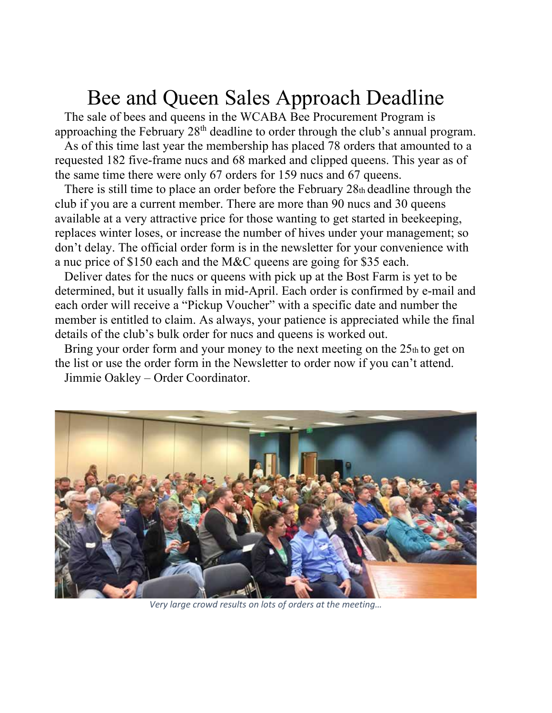# Bee and Queen Sales Approach Deadline<br>The sale of bees and queens in the WCABA Bee Procurement Program is

approaching the February  $28<sup>th</sup>$  deadline to order through the club's annual program.

 As of this time last year the membership has placed 78 orders that amounted to a requested 182 five-frame nucs and 68 marked and clipped queens. This year as of the same time there were only 67 orders for 159 nucs and 67 queens.

 There is still time to place an order before the February 28th deadline through the club if you are a current member. There are more than 90 nucs and 30 queens available at a very attractive price for those wanting to get started in beekeeping, replaces winter loses, or increase the number of hives under your management; so don't delay. The official order form is in the newsletter for your convenience with a nuc price of \$150 each and the M&C queens are going for \$35 each.

 Deliver dates for the nucs or queens with pick up at the Bost Farm is yet to be determined, but it usually falls in mid-April. Each order is confirmed by e-mail and each order will receive a "Pickup Voucher" with a specific date and number the member is entitled to claim. As always, your patience is appreciated while the final details of the club's bulk order for nucs and queens is worked out.

Bring your order form and your money to the next meeting on the  $25<sub>th</sub>$  to get on the list or use the order form in the Newsletter to order now if you can't attend. Jimmie Oakley – Order Coordinator.



*Very large crowd results on lots of orders at the meeting…*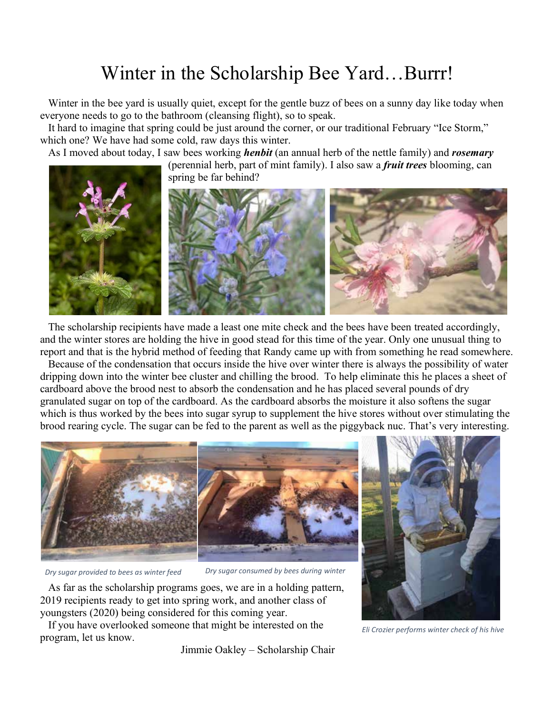## Winter in the Scholarship Bee Yard…Burrr!

 Winter in the bee yard is usually quiet, except for the gentle buzz of bees on a sunny day like today when everyone needs to go to the bathroom (cleansing flight), so to speak.

 It hard to imagine that spring could be just around the corner, or our traditional February "Ice Storm," which one? We have had some cold, raw days this winter.

As I moved about today, I saw bees working *henbit* (an annual herb of the nettle family) and *rosemary*

(perennial herb, part of mint family). I also saw a *fruit trees* blooming, can spring be far behind?



 The scholarship recipients have made a least one mite check and the bees have been treated accordingly, and the winter stores are holding the hive in good stead for this time of the year. Only one unusual thing to report and that is the hybrid method of feeding that Randy came up with from something he read somewhere.

 Because of the condensation that occurs inside the hive over winter there is always the possibility of water dripping down into the winter bee cluster and chilling the brood. To help eliminate this he places a sheet of cardboard above the brood nest to absorb the condensation and he has placed several pounds of dry granulated sugar on top of the cardboard. As the cardboard absorbs the moisture it also softens the sugar which is thus worked by the bees into sugar syrup to supplement the hive stores without over stimulating the brood rearing cycle. The sugar can be fed to the parent as well as the piggyback nuc. That's very interesting.



*Dry sugar provided to bees as winter feed Dry sugar consumed by bees during winter*

 As far as the scholarship programs goes, we are in a holding pattern, 2019 recipients ready to get into spring work, and another class of youngsters (2020) being considered for this coming year.

 If you have overlooked someone that might be interested on the program, let us know.

Jimmie Oakley – Scholarship Chair



*Eli Crozier performs winter check of his hive*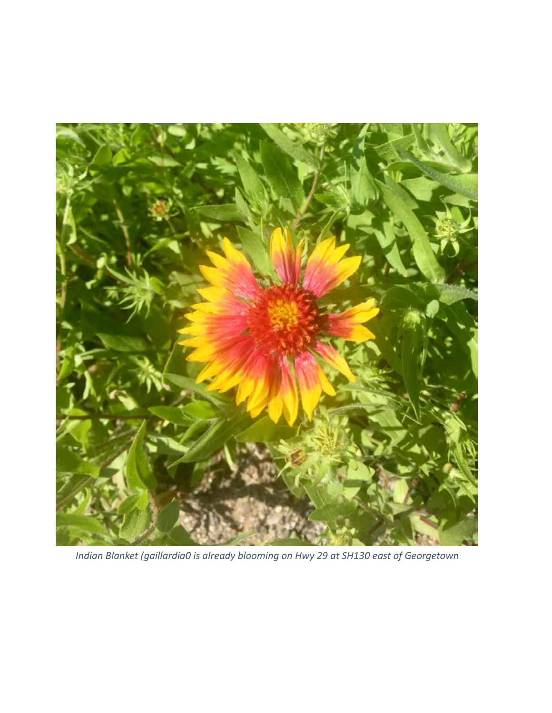

*Indian Blanket (gaillardia0 is already blooming on Hwy 29 at SH130 east of Georgetown*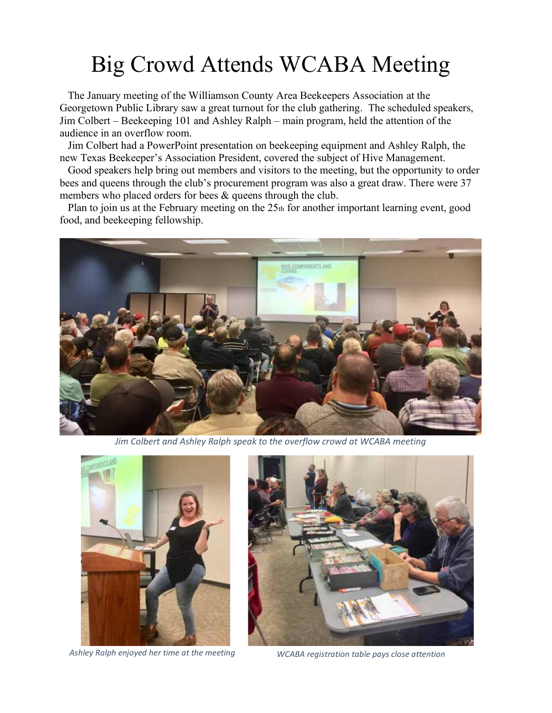# Big Crowd Attends WCABA Meeting

 The January meeting of the Williamson County Area Beekeepers Association at the Georgetown Public Library saw a great turnout for the club gathering. The scheduled speakers, Jim Colbert – Beekeeping 101 and Ashley Ralph – main program, held the attention of the audience in an overflow room.

 Jim Colbert had a PowerPoint presentation on beekeeping equipment and Ashley Ralph, the new Texas Beekeeper's Association President, covered the subject of Hive Management.

 Good speakers help bring out members and visitors to the meeting, but the opportunity to order bees and queens through the club's procurement program was also a great draw. There were 37 members who placed orders for bees & queens through the club.

Plan to join us at the February meeting on the 25th for another important learning event, good food, and beekeeping fellowship.



*Jim Colbert and Ashley Ralph speak to the overflow crowd at WCABA meeting*



*Ashley Ralph enjoyed her time at the meeting WCABA registration table pays close attention*

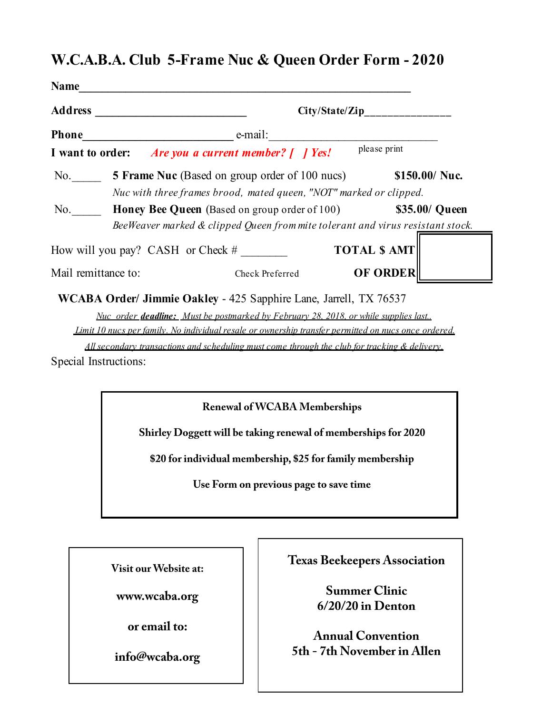### **W.C.A.B.A. Club 5-Frame Nuc & Queen Order Form - 2020**

| Name<br><b>Address</b> | City/State/Zip                                                                                                                                           |  |
|------------------------|----------------------------------------------------------------------------------------------------------------------------------------------------------|--|
| <b>Phone</b>           | e-mail:                                                                                                                                                  |  |
| I want to order:       | please print<br><i>Are you a current member?</i> [ <i>I Yes!</i>                                                                                         |  |
| No.                    | <b>5 Frame Nuc</b> (Based on group order of 100 nucs)<br>$$150.00/$ Nuc.<br>Nuc with three frames brood, mated queen, "NOT" marked or clipped.           |  |
| No.                    | <b>Honey Bee Queen</b> (Based on group order of 100)<br>\$35.00/ Queen<br>BeeWeaver marked & clipped Queen from mite tolerant and virus resistant stock. |  |
|                        | <b>TOTAL \$ AMT</b><br>How will you pay? CASH or Check $#$                                                                                               |  |
| Mail remittance to:    | <b>OF ORDER</b><br>Check Preferred                                                                                                                       |  |
|                        | WCABA Order/ Jimmie Oakley - 425 Sapphire Lane, Jarrell, TX 76537                                                                                        |  |
|                        | Nuc order <b>deadline:</b> Must be postmarked by February 28, 2018, or while supplies last.                                                              |  |
|                        | Limit 10 nucs per family. No individual resale or ownership transfer permitted on nucs once ordered.                                                     |  |

*All secondary transactions and scheduling must come through the club for tracking & delivery.*

Special Instructions:

**Renewal of WCABA Memberships**

**Shirley Doggett will be taking renewal of memberships for 2020**

**\$20 for individual membership, \$25 for family membership**

**Use Form on previous page to save time**

**Visit our Website at:**

**www.wcaba.org**

**or email to:**

**info@wcaba.org**

**Texas Beekeepers Association**

**Summer Clinic 6/20/20 in Denton**

**Annual Convention 5th - 7th November in Allen**